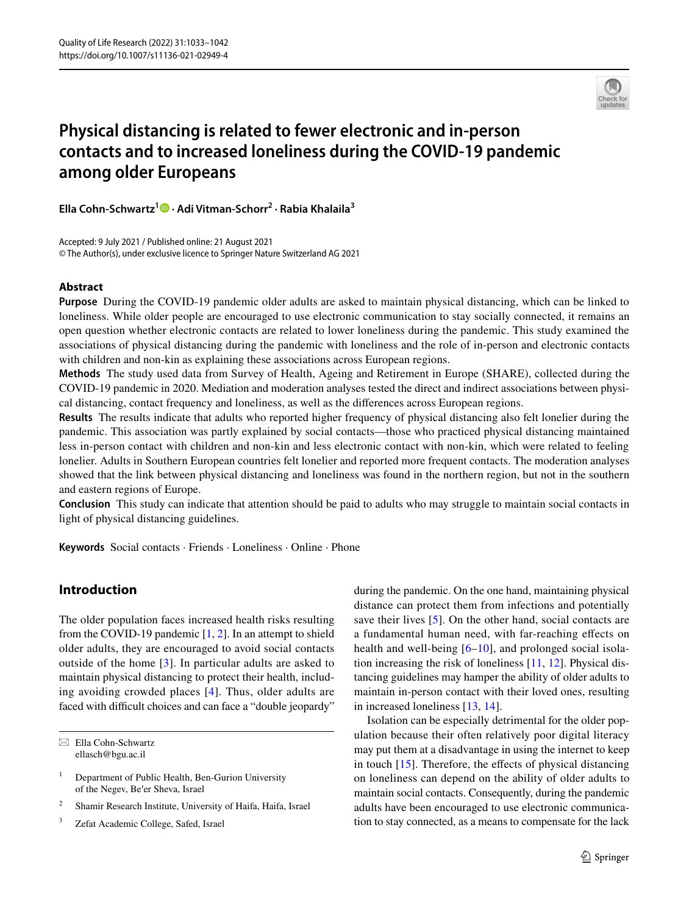

# **Physical distancing is related to fewer electronic and in‑person contacts and to increased loneliness during the COVID‑19 pandemic among older Europeans**

**Ella Cohn‑Schwartz1  [·](http://orcid.org/0000-0001-9623-1820) Adi Vitman‑Schorr2 · Rabia Khalaila3**

Accepted: 9 July 2021 / Published online: 21 August 2021 © The Author(s), under exclusive licence to Springer Nature Switzerland AG 2021

### **Abstract**

**Purpose** During the COVID-19 pandemic older adults are asked to maintain physical distancing, which can be linked to loneliness. While older people are encouraged to use electronic communication to stay socially connected, it remains an open question whether electronic contacts are related to lower loneliness during the pandemic. This study examined the associations of physical distancing during the pandemic with loneliness and the role of in-person and electronic contacts with children and non-kin as explaining these associations across European regions.

**Methods** The study used data from Survey of Health, Ageing and Retirement in Europe (SHARE), collected during the COVID-19 pandemic in 2020. Mediation and moderation analyses tested the direct and indirect associations between physical distancing, contact frequency and loneliness, as well as the diferences across European regions.

**Results** The results indicate that adults who reported higher frequency of physical distancing also felt lonelier during the pandemic. This association was partly explained by social contacts—those who practiced physical distancing maintained less in-person contact with children and non-kin and less electronic contact with non-kin, which were related to feeling lonelier. Adults in Southern European countries felt lonelier and reported more frequent contacts. The moderation analyses showed that the link between physical distancing and loneliness was found in the northern region, but not in the southern and eastern regions of Europe.

**Conclusion** This study can indicate that attention should be paid to adults who may struggle to maintain social contacts in light of physical distancing guidelines.

**Keywords** Social contacts · Friends · Loneliness · Online · Phone

## **Introduction**

The older population faces increased health risks resulting from the COVID-19 pandemic  $[1, 2]$  $[1, 2]$  $[1, 2]$ . In an attempt to shield older adults, they are encouraged to avoid social contacts outside of the home [\[3\]](#page-8-2). In particular adults are asked to maintain physical distancing to protect their health, including avoiding crowded places [\[4\]](#page-8-3). Thus, older adults are faced with difficult choices and can face a "double jeopardy"

 $\boxtimes$  Ella Cohn-Schwartz ellasch@bgu.ac.il

during the pandemic. On the one hand, maintaining physical distance can protect them from infections and potentially save their lives [[5](#page-8-4)]. On the other hand, social contacts are a fundamental human need, with far-reaching efects on health and well-being [\[6–](#page-8-5)[10](#page-8-6)], and prolonged social isolation increasing the risk of loneliness [[11,](#page-8-7) [12](#page-8-8)]. Physical distancing guidelines may hamper the ability of older adults to maintain in-person contact with their loved ones, resulting in increased loneliness [\[13](#page-8-9), [14\]](#page-8-10).

Isolation can be especially detrimental for the older population because their often relatively poor digital literacy may put them at a disadvantage in using the internet to keep in touch  $[15]$  $[15]$ . Therefore, the effects of physical distancing on loneliness can depend on the ability of older adults to maintain social contacts. Consequently, during the pandemic adults have been encouraged to use electronic communication to stay connected, as a means to compensate for the lack

 $1$  Department of Public Health, Ben-Gurion University of the Negev, Be′er Sheva, Israel

<sup>2</sup> Shamir Research Institute, University of Haifa, Haifa, Israel

<sup>3</sup> Zefat Academic College, Safed, Israel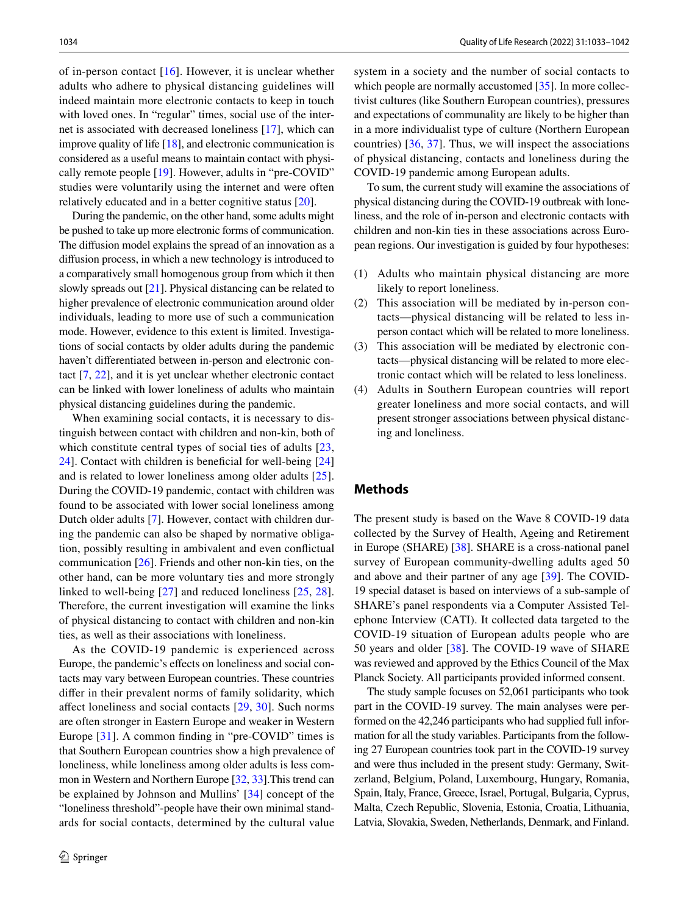of in-person contact  $[16]$  $[16]$ . However, it is unclear whether adults who adhere to physical distancing guidelines will indeed maintain more electronic contacts to keep in touch with loved ones. In "regular" times, social use of the internet is associated with decreased loneliness [\[17](#page-8-13)], which can improve quality of life [[18\]](#page-8-14), and electronic communication is considered as a useful means to maintain contact with physically remote people [\[19](#page-8-15)]. However, adults in "pre-COVID" studies were voluntarily using the internet and were often relatively educated and in a better cognitive status [[20](#page-8-16)].

During the pandemic, on the other hand, some adults might be pushed to take up more electronic forms of communication. The difusion model explains the spread of an innovation as a difusion process, in which a new technology is introduced to a comparatively small homogenous group from which it then slowly spreads out [[21\]](#page-8-17). Physical distancing can be related to higher prevalence of electronic communication around older individuals, leading to more use of such a communication mode. However, evidence to this extent is limited. Investigations of social contacts by older adults during the pandemic haven't diferentiated between in-person and electronic contact [[7,](#page-8-18) [22](#page-8-19)], and it is yet unclear whether electronic contact can be linked with lower loneliness of adults who maintain physical distancing guidelines during the pandemic.

When examining social contacts, it is necessary to distinguish between contact with children and non-kin, both of which constitute central types of social ties of adults [\[23,](#page-8-20) [24](#page-8-21)]. Contact with children is benefcial for well-being [[24\]](#page-8-21) and is related to lower loneliness among older adults [[25](#page-8-22)]. During the COVID-19 pandemic, contact with children was found to be associated with lower social loneliness among Dutch older adults [[7](#page-8-18)]. However, contact with children during the pandemic can also be shaped by normative obligation, possibly resulting in ambivalent and even confictual communication [[26\]](#page-9-0). Friends and other non-kin ties, on the other hand, can be more voluntary ties and more strongly linked to well-being [\[27\]](#page-9-1) and reduced loneliness [[25](#page-8-22), [28](#page-9-2)]. Therefore, the current investigation will examine the links of physical distancing to contact with children and non-kin ties, as well as their associations with loneliness.

As the COVID-19 pandemic is experienced across Europe, the pandemic's effects on loneliness and social contacts may vary between European countries. These countries difer in their prevalent norms of family solidarity, which afect loneliness and social contacts [\[29,](#page-9-3) [30](#page-9-4)]. Such norms are often stronger in Eastern Europe and weaker in Western Europe [[31\]](#page-9-5). A common fnding in "pre-COVID" times is that Southern European countries show a high prevalence of loneliness, while loneliness among older adults is less common in Western and Northern Europe [\[32](#page-9-6), [33\]](#page-9-7).This trend can be explained by Johnson and Mullins' [[34](#page-9-8)] concept of the "loneliness threshold"-people have their own minimal standards for social contacts, determined by the cultural value system in a society and the number of social contacts to which people are normally accustomed [[35\]](#page-9-9). In more collectivist cultures (like Southern European countries), pressures and expectations of communality are likely to be higher than in a more individualist type of culture (Northern European countries) [[36,](#page-9-10) [37](#page-9-11)]. Thus, we will inspect the associations of physical distancing, contacts and loneliness during the COVID-19 pandemic among European adults.

To sum, the current study will examine the associations of physical distancing during the COVID-19 outbreak with loneliness, and the role of in-person and electronic contacts with children and non-kin ties in these associations across European regions. Our investigation is guided by four hypotheses:

- (1) Adults who maintain physical distancing are more likely to report loneliness.
- (2) This association will be mediated by in-person contacts—physical distancing will be related to less inperson contact which will be related to more loneliness.
- (3) This association will be mediated by electronic contacts—physical distancing will be related to more electronic contact which will be related to less loneliness.
- (4) Adults in Southern European countries will report greater loneliness and more social contacts, and will present stronger associations between physical distancing and loneliness.

#### **Methods**

The present study is based on the Wave 8 COVID-19 data collected by the Survey of Health, Ageing and Retirement in Europe (SHARE) [[38](#page-9-12)]. SHARE is a cross-national panel survey of European community-dwelling adults aged 50 and above and their partner of any age [\[39\]](#page-9-13). The COVID-19 special dataset is based on interviews of a sub-sample of SHARE's panel respondents via a Computer Assisted Telephone Interview (CATI). It collected data targeted to the COVID-19 situation of European adults people who are 50 years and older [\[38](#page-9-12)]. The COVID-19 wave of SHARE was reviewed and approved by the Ethics Council of the Max Planck Society. All participants provided informed consent.

The study sample focuses on 52,061 participants who took part in the COVID-19 survey. The main analyses were performed on the 42,246 participants who had supplied full information for all the study variables. Participants from the following 27 European countries took part in the COVID-19 survey and were thus included in the present study: Germany, Switzerland, Belgium, Poland, Luxembourg, Hungary, Romania, Spain, Italy, France, Greece, Israel, Portugal, Bulgaria, Cyprus, Malta, Czech Republic, Slovenia, Estonia, Croatia, Lithuania, Latvia, Slovakia, Sweden, Netherlands, Denmark, and Finland.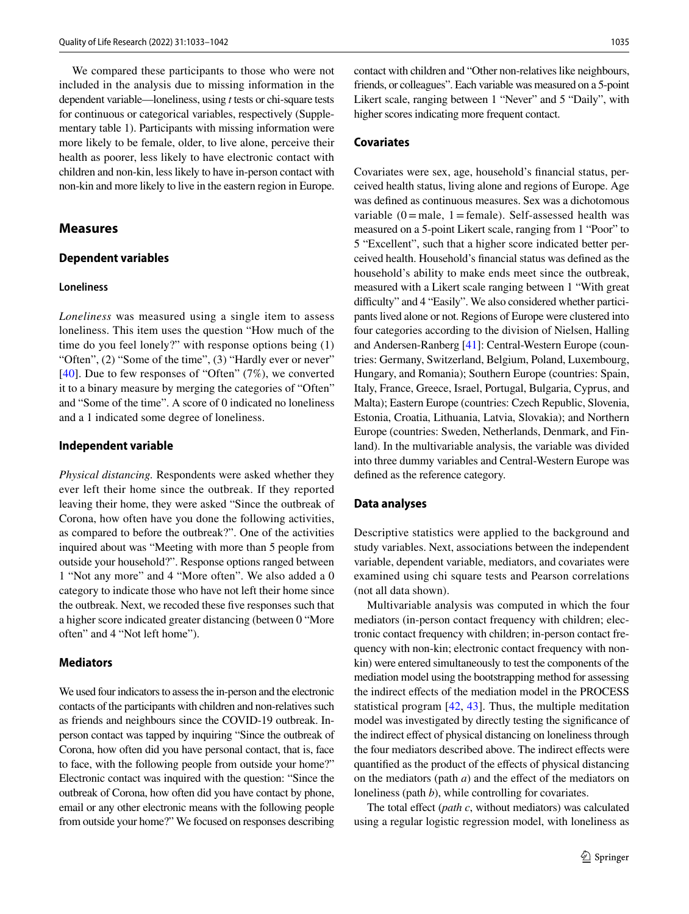We compared these participants to those who were not included in the analysis due to missing information in the dependent variable—loneliness, using *t* tests or chi-square tests for continuous or categorical variables, respectively (Supplementary table 1). Participants with missing information were more likely to be female, older, to live alone, perceive their health as poorer, less likely to have electronic contact with children and non-kin, less likely to have in-person contact with non-kin and more likely to live in the eastern region in Europe.

#### **Measures**

#### **Dependent variables**

#### **Loneliness**

*Loneliness* was measured using a single item to assess loneliness. This item uses the question "How much of the time do you feel lonely?" with response options being (1) "Often", (2) "Some of the time", (3) "Hardly ever or never" [\[40\]](#page-9-14). Due to few responses of "Often" (7%), we converted it to a binary measure by merging the categories of "Often" and "Some of the time". A score of 0 indicated no loneliness and a 1 indicated some degree of loneliness.

#### **Independent variable**

*Physical distancing.* Respondents were asked whether they ever left their home since the outbreak. If they reported leaving their home, they were asked "Since the outbreak of Corona, how often have you done the following activities, as compared to before the outbreak?". One of the activities inquired about was "Meeting with more than 5 people from outside your household?". Response options ranged between 1 "Not any more" and 4 "More often". We also added a 0 category to indicate those who have not left their home since the outbreak. Next, we recoded these fve responses such that a higher score indicated greater distancing (between 0 "More often" and 4 "Not left home").

#### **Mediators**

We used four indicators to assess the in-person and the electronic contacts of the participants with children and non-relatives such as friends and neighbours since the COVID-19 outbreak. Inperson contact was tapped by inquiring "Since the outbreak of Corona, how often did you have personal contact, that is, face to face, with the following people from outside your home?" Electronic contact was inquired with the question: "Since the outbreak of Corona, how often did you have contact by phone, email or any other electronic means with the following people from outside your home?" We focused on responses describing

contact with children and "Other non-relatives like neighbours, friends, or colleagues". Each variable was measured on a 5-point Likert scale, ranging between 1 "Never" and 5 "Daily", with higher scores indicating more frequent contact.

#### **Covariates**

Covariates were sex, age, household's fnancial status, perceived health status, living alone and regions of Europe. Age was defned as continuous measures. Sex was a dichotomous variable  $(0)$  = male, 1 = female). Self-assessed health was measured on a 5-point Likert scale, ranging from 1 "Poor" to 5 "Excellent", such that a higher score indicated better perceived health. Household's fnancial status was defned as the household's ability to make ends meet since the outbreak, measured with a Likert scale ranging between 1 "With great difficulty" and 4 "Easily". We also considered whether participants lived alone or not. Regions of Europe were clustered into four categories according to the division of Nielsen, Halling and Andersen-Ranberg [[41\]](#page-9-15): Central-Western Europe (countries: Germany, Switzerland, Belgium, Poland, Luxembourg, Hungary, and Romania); Southern Europe (countries: Spain, Italy, France, Greece, Israel, Portugal, Bulgaria, Cyprus, and Malta); Eastern Europe (countries: Czech Republic, Slovenia, Estonia, Croatia, Lithuania, Latvia, Slovakia); and Northern Europe (countries: Sweden, Netherlands, Denmark, and Finland). In the multivariable analysis, the variable was divided into three dummy variables and Central-Western Europe was defned as the reference category.

#### **Data analyses**

Descriptive statistics were applied to the background and study variables. Next, associations between the independent variable, dependent variable, mediators, and covariates were examined using chi square tests and Pearson correlations (not all data shown).

Multivariable analysis was computed in which the four mediators (in-person contact frequency with children; electronic contact frequency with children; in-person contact frequency with non-kin; electronic contact frequency with nonkin) were entered simultaneously to test the components of the mediation model using the bootstrapping method for assessing the indirect efects of the mediation model in the PROCESS statistical program [\[42](#page-9-16), [43\]](#page-9-17). Thus, the multiple meditation model was investigated by directly testing the signifcance of the indirect efect of physical distancing on loneliness through the four mediators described above. The indirect efects were quantifed as the product of the efects of physical distancing on the mediators (path *a*) and the efect of the mediators on loneliness (path *b*), while controlling for covariates.

The total effect (*path c*, without mediators) was calculated using a regular logistic regression model, with loneliness as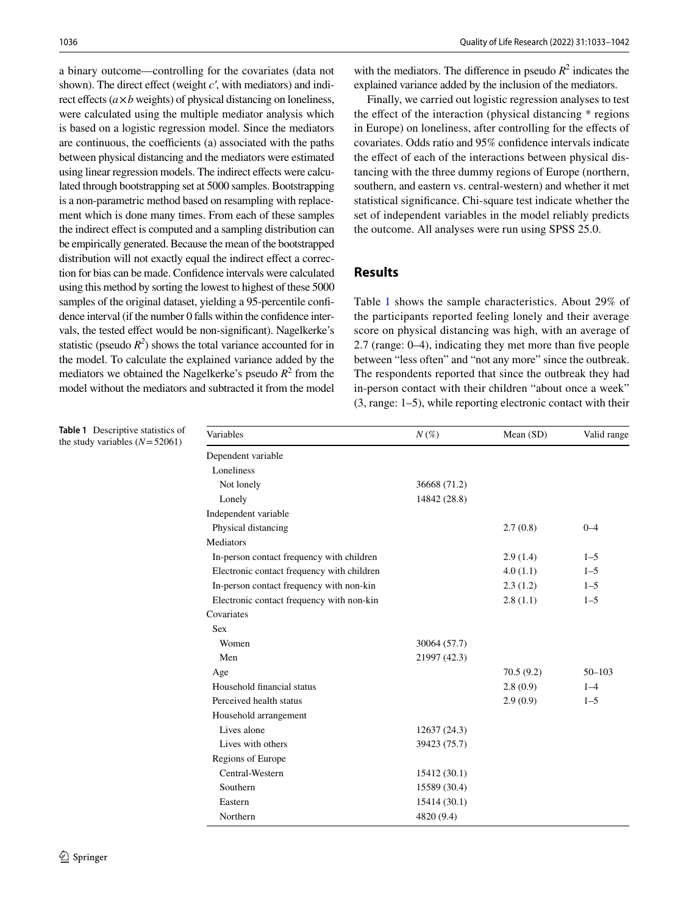a binary outcome—controlling for the covariates (data not shown). The direct effect (weight *c'*, with mediators) and indirect effects  $(a \times b$  weights) of physical distancing on loneliness, were calculated using the multiple mediator analysis which is based on a logistic regression model. Since the mediators are continuous, the coefficients (a) associated with the paths between physical distancing and the mediators were estimated using linear regression models. The indirect efects were calculated through bootstrapping set at 5000 samples. Bootstrapping is a non-parametric method based on resampling with replacement which is done many times. From each of these samples the indirect effect is computed and a sampling distribution can be empirically generated. Because the mean of the bootstrapped distribution will not exactly equal the indirect effect a correction for bias can be made. Confdence intervals were calculated using this method by sorting the lowest to highest of these 5000 samples of the original dataset, yielding a 95-percentile confdence interval (if the number 0 falls within the confdence intervals, the tested effect would be non-significant). Nagelkerke's statistic (pseudo  $R^2$ ) shows the total variance accounted for in the model. To calculate the explained variance added by the mediators we obtained the Nagelkerke's pseudo  $R^2$  from the model without the mediators and subtracted it from the model

with the mediators. The difference in pseudo  $R^2$  indicates the explained variance added by the inclusion of the mediators.

Finally, we carried out logistic regression analyses to test the efect of the interaction (physical distancing \* regions in Europe) on loneliness, after controlling for the efects of covariates. Odds ratio and 95% confdence intervals indicate the effect of each of the interactions between physical distancing with the three dummy regions of Europe (northern, southern, and eastern vs. central-western) and whether it met statistical signifcance. Chi-square test indicate whether the set of independent variables in the model reliably predicts the outcome. All analyses were run using SPSS 25.0.

## **Results**

Table [1](#page-3-0) shows the sample characteristics. About 29% of the participants reported feeling lonely and their average score on physical distancing was high, with an average of 2.7 (range: 0–4), indicating they met more than fve people between "less often" and "not any more" since the outbreak. The respondents reported that since the outbreak they had in-person contact with their children "about once a week" (3, range: 1–5), while reporting electronic contact with their

| Variables                                  | $N(\%)$      | Mean $(SD)$ | Valid range |
|--------------------------------------------|--------------|-------------|-------------|
| Dependent variable                         |              |             |             |
| Loneliness                                 |              |             |             |
| Not lonely                                 | 36668 (71.2) |             |             |
| Lonely                                     | 14842 (28.8) |             |             |
| Independent variable                       |              |             |             |
| Physical distancing                        |              | 2.7(0.8)    | $0 - 4$     |
| <b>Mediators</b>                           |              |             |             |
| In-person contact frequency with children  |              | 2.9(1.4)    | $1 - 5$     |
| Electronic contact frequency with children |              | 4.0(1.1)    | $1 - 5$     |
| In-person contact frequency with non-kin   |              | 2.3(1.2)    | $1 - 5$     |
| Electronic contact frequency with non-kin  |              | 2.8(1.1)    | $1 - 5$     |
| Covariates                                 |              |             |             |
| <b>Sex</b>                                 |              |             |             |
| Women                                      | 30064 (57.7) |             |             |
| Men                                        | 21997 (42.3) |             |             |
| Age                                        |              | 70.5(9.2)   | $50 - 103$  |
| Household financial status                 |              | 2.8(0.9)    | $1 - 4$     |
| Perceived health status                    |              | 2.9(0.9)    | $1 - 5$     |
| Household arrangement                      |              |             |             |
| Lives alone                                | 12637 (24.3) |             |             |
| Lives with others                          | 39423 (75.7) |             |             |
| Regions of Europe                          |              |             |             |
| Central-Western                            | 15412 (30.1) |             |             |
| Southern                                   | 15589 (30.4) |             |             |
| Eastern                                    | 15414 (30.1) |             |             |
| Northern                                   | 4820 (9.4)   |             |             |

<span id="page-3-0"></span>**Table 1** Descriptive statistics of the study variables (*N*=52061)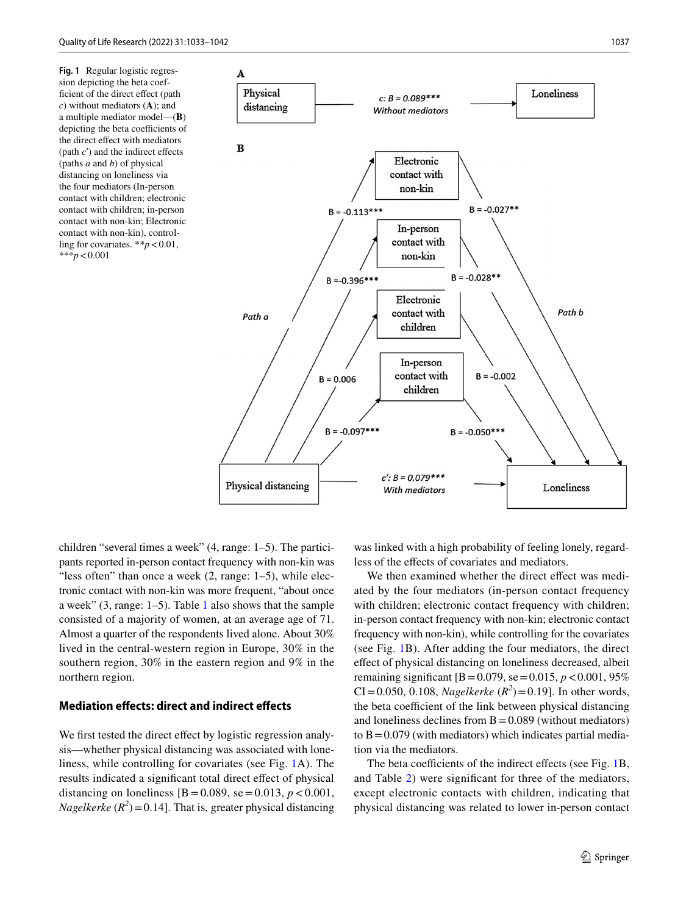<span id="page-4-0"></span>**Fig. 1** Regular logistic regression depicting the beta coefficient of the direct effect (path *c*) without mediators (**A**); and a multiple mediator model—(**B**) depicting the beta coefficients of the direct effect with mediators (path  $c'$ ) and the indirect effects (paths *a* and *b*) of physical distancing on loneliness via the four mediators (In-person contact with children; electronic contact with children; in-person contact with non-kin; Electronic contact with non-kin), controlling for covariates. \*\**p*<0.01, \*\*\**p*<0.001



children "several times a week" (4, range: 1–5). The participants reported in-person contact frequency with non-kin was "less often" than once a week  $(2, \text{range: } 1-5)$ , while electronic contact with non-kin was more frequent, "about once a week" (3, range: 1–5). Table [1](#page-3-0) also shows that the sample consisted of a majority of women, at an average age of 71. Almost a quarter of the respondents lived alone. About 30% lived in the central-western region in Europe, 30% in the southern region, 30% in the eastern region and 9% in the northern region.

#### **Mediation efects: direct and indirect efects**

We first tested the direct effect by logistic regression analysis—whether physical distancing was associated with loneliness, while controlling for covariates (see Fig. [1A](#page-4-0)). The results indicated a signifcant total direct efect of physical distancing on loneliness  $[B = 0.089, \text{ se} = 0.013, p < 0.001,$ *Nagelkerke*  $(R^2)$  = 0.14]. That is, greater physical distancing

was linked with a high probability of feeling lonely, regardless of the efects of covariates and mediators.

We then examined whether the direct effect was mediated by the four mediators (in-person contact frequency with children; electronic contact frequency with children; in-person contact frequency with non-kin; electronic contact frequency with non-kin), while controlling for the covariates (see Fig. [1](#page-4-0)B). After adding the four mediators, the direct efect of physical distancing on loneliness decreased, albeit remaining significant  $[B = 0.079, \text{ se} = 0.015, p < 0.001, 95\%$ CI=0.050, 0.108, *Nagelkerke*  $(R^2)$ =0.19]. In other words, the beta coefficient of the link between physical distancing and loneliness declines from  $B = 0.089$  (without mediators) to  $B = 0.079$  (with mediators) which indicates partial mediation via the mediators.

The beta coefficients of the indirect effects (see Fig. [1](#page-4-0)B, and Table [2](#page-5-0)) were signifcant for three of the mediators, except electronic contacts with children, indicating that physical distancing was related to lower in-person contact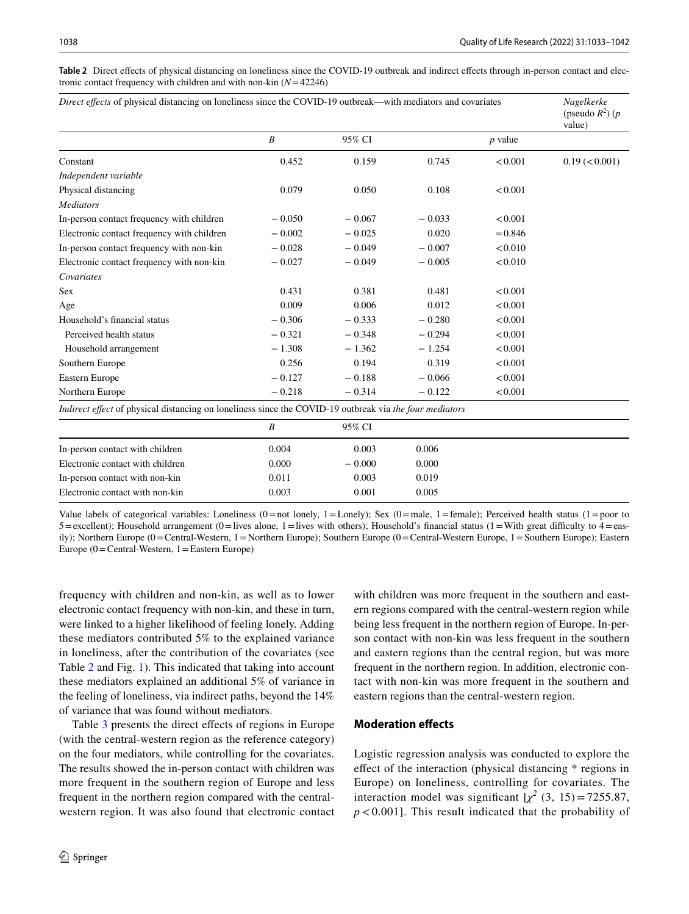<span id="page-5-0"></span>**Table 2** Direct efects of physical distancing on loneliness since the COVID-19 outbreak and indirect efects through in-person contact and electronic contact frequency with children and with non-kin (*N*=42246)

| Direct effects of physical distancing on loneliness since the COVID-19 outbreak—with mediators and covariates  |                  |          |          |           | Nagelkerke<br>(pseudo $R^2$ ) (p<br>value) |
|----------------------------------------------------------------------------------------------------------------|------------------|----------|----------|-----------|--------------------------------------------|
|                                                                                                                | B                | 95% CI   |          | $p$ value |                                            |
| Constant                                                                                                       | 0.452            | 0.159    | 0.745    | < 0.001   | 0.19 (< 0.001)                             |
| Independent variable                                                                                           |                  |          |          |           |                                            |
| Physical distancing                                                                                            | 0.079            | 0.050    | 0.108    | < 0.001   |                                            |
| <b>Mediators</b>                                                                                               |                  |          |          |           |                                            |
| In-person contact frequency with children                                                                      | $-0.050$         | $-0.067$ | $-0.033$ | < 0.001   |                                            |
| Electronic contact frequency with children                                                                     | $-0.002$         | $-0.025$ | 0.020    | $= 0.846$ |                                            |
| In-person contact frequency with non-kin                                                                       | $-0.028$         | $-0.049$ | $-0.007$ | < 0.010   |                                            |
| Electronic contact frequency with non-kin                                                                      | $-0.027$         | $-0.049$ | $-0.005$ | < 0.010   |                                            |
| Covariates                                                                                                     |                  |          |          |           |                                            |
| <b>Sex</b>                                                                                                     | 0.431            | 0.381    | 0.481    | < 0.001   |                                            |
| Age                                                                                                            | 0.009            | 0.006    | 0.012    | < 0.001   |                                            |
| Household's financial status                                                                                   | $-0.306$         | $-0.333$ | $-0.280$ | < 0.001   |                                            |
| Perceived health status                                                                                        | $-0.321$         | $-0.348$ | $-0.294$ | < 0.001   |                                            |
| Household arrangement                                                                                          | $-1.308$         | $-1.362$ | $-1.254$ | < 0.001   |                                            |
| Southern Europe                                                                                                | 0.256            | 0.194    | 0.319    | < 0.001   |                                            |
| Eastern Europe                                                                                                 | $-0.127$         | $-0.188$ | $-0.066$ | < 0.001   |                                            |
| Northern Europe                                                                                                | $-0.218$         | $-0.314$ | $-0.122$ | < 0.001   |                                            |
| <i>Indirect effect</i> of physical distancing on loneliness since the COVID-19 outbreak via the four mediators |                  |          |          |           |                                            |
|                                                                                                                | $\boldsymbol{B}$ | 95% CI   |          |           |                                            |
| In-person contact with children                                                                                | 0.004            | 0.003    | 0.006    |           |                                            |
| Electronic contact with children                                                                               | 0.000            | $-0.000$ | 0.000    |           |                                            |
| In-person contact with non-kin                                                                                 | 0.011            | 0.003    | 0.019    |           |                                            |
| Electronic contact with non-kin                                                                                | 0.003            | 0.001    | 0.005    |           |                                            |

Value labels of categorical variables: Loneliness  $(0=not$  lonely,  $1=$ Lonely); Sex  $(0=male, 1=female)$ ; Perceived health status  $(1=poor$  to  $5 =$ excellent); Household arrangement (0=lives alone, 1=lives with others); Household's financial status (1=With great difficulty to 4=easily); Northern Europe (0=Central-Western, 1=Northern Europe); Southern Europe (0=Central-Western Europe, 1=Southern Europe); Eastern Europe  $(0 = Central-Western, 1 = Eastern Europe)$ 

frequency with children and non-kin, as well as to lower electronic contact frequency with non-kin, and these in turn, were linked to a higher likelihood of feeling lonely. Adding these mediators contributed 5% to the explained variance in loneliness, after the contribution of the covariates (see Table [2](#page-5-0) and Fig. [1\)](#page-4-0). This indicated that taking into account these mediators explained an additional 5% of variance in the feeling of loneliness, via indirect paths, beyond the 14% of variance that was found without mediators.

Table [3](#page-6-0) presents the direct efects of regions in Europe (with the central-western region as the reference category) on the four mediators, while controlling for the covariates. The results showed the in-person contact with children was more frequent in the southern region of Europe and less frequent in the northern region compared with the centralwestern region. It was also found that electronic contact with children was more frequent in the southern and eastern regions compared with the central-western region while being less frequent in the northern region of Europe. In-person contact with non-kin was less frequent in the southern and eastern regions than the central region, but was more frequent in the northern region. In addition, electronic contact with non-kin was more frequent in the southern and eastern regions than the central-western region.

## **Moderation efects**

Logistic regression analysis was conducted to explore the efect of the interaction (physical distancing \* regions in Europe) on loneliness, controlling for covariates. The interaction model was significant  $[\chi^2(3, 15) = 7255.87]$ , *p* < 0.001]. This result indicated that the probability of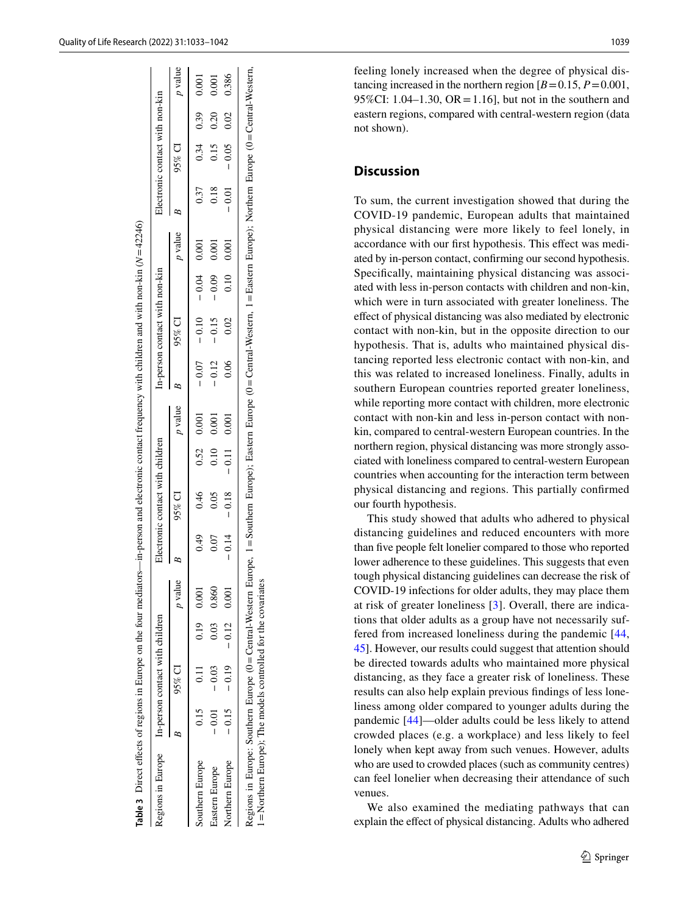$N = 42246$ 

| degions in Europe In-person contact with children                                                                                                                                                                                           |                               |      |                |         | Electronic contact with children |               |                |         | In-person contact with non-kin |               |                |         | Electronic contact with non-kin |             |                |
|---------------------------------------------------------------------------------------------------------------------------------------------------------------------------------------------------------------------------------------------|-------------------------------|------|----------------|---------|----------------------------------|---------------|----------------|---------|--------------------------------|---------------|----------------|---------|---------------------------------|-------------|----------------|
|                                                                                                                                                                                                                                             | $95\%$ CI                     |      | <i>p</i> value |         | 95% CI                           |               | <i>p</i> value |         | 95% CI                         |               | <i>p</i> value |         | 95% CI                          |             | <i>p</i> value |
| Southern Europe                                                                                                                                                                                                                             | $0.15$ $0.11$                 |      | $0.19$ 0.001   | 0.49    | 0.46                             | 0.52          | 0.001          |         | $-0.07 - 0.10$                 | $-0.04$ 0.001 |                | 0.37    |                                 | $0.34$ 0.39 | 0.001          |
| lastern Europe                                                                                                                                                                                                                              | $-0.01 - 0.03$                | 0.03 | 0.860          | 0.07    | 0.05                             | 0.10          | 0.001          | $-0.12$ | $-0.15$                        | $-0.09$       | 0.001          | 0.18    | 0.15                            | 0.20        | 0.001          |
| <b>Jorthern Europe</b>                                                                                                                                                                                                                      | $-0.15$ $-0.19$ $-0.12$ 0.001 |      |                | $-0.14$ | $-0.18$                          | $-0.11$ 0.001 |                | 0.06    | 0.02                           | 0.10          | 0.001          | $-0.01$ | $-0.05$ 0.02                    |             | 0.386          |
| Regions in Europe: Southern Europe (0=Central-Western Europe, 1=Southern Europe); Eastern Europe (0=Central-Western, 1=Eastern Europe); Northern Europe (0=Central-Western,<br>= Northern Europe); The models controlled for the covariates |                               |      |                |         |                                  |               |                |         |                                |               |                |         |                                 |             |                |

<span id="page-6-0"></span>**Table 3**

Direct efects of regions in Europe on the four mediators—in-person and electronic contact frequency with children and with non-kin (

feeling lonely increased when the degree of physical distancing increased in the northern region  $[B=0.15, P=0.001,$ 95%CI: 1.04–1.30, OR = 1.16], but not in the southern and eastern regions, compared with central-western region (data not shown).

## **Discussion**

To sum, the current investigation showed that during the COVID-19 pandemic, European adults that maintained physical distancing were more likely to feel lonely, in accordance with our frst hypothesis. This efect was mediated by in-person contact, confrming our second hypothesis. Specifcally, maintaining physical distancing was associated with less in-person contacts with children and non-kin, which were in turn associated with greater loneliness. The efect of physical distancing was also mediated by electronic contact with non-kin, but in the opposite direction to our hypothesis. That is, adults who maintained physical distancing reported less electronic contact with non-kin, and this was related to increased loneliness. Finally, adults in southern European countries reported greater loneliness, while reporting more contact with children, more electronic contact with non-kin and less in-person contact with nonkin, compared to central-western European countries. In the northern region, physical distancing was more strongly associated with loneliness compared to central-western European countries when accounting for the interaction term between physical distancing and regions. This partially confrmed our fourth hypothesis.

This study showed that adults who adhered to physical distancing guidelines and reduced encounters with more than fve people felt lonelier compared to those who reported lower adherence to these guidelines. This suggests that even tough physical distancing guidelines can decrease the risk of COVID-19 infections for older adults, they may place them at risk of greater loneliness [[3](#page-8-2)]. Overall, there are indications that older adults as a group have not necessarily suffered from increased loneliness during the pandemic [\[44,](#page-9-18) [45](#page-9-19)]. However, our results could suggest that attention should be directed towards adults who maintained more physical distancing, as they face a greater risk of loneliness. These results can also help explain previous fndings of less loneliness among older compared to younger adults during the pandemic [[44](#page-9-18)]—older adults could be less likely to attend crowded places (e.g. a workplace) and less likely to feel lonely when kept away from such venues. However, adults who are used to crowded places (such as community centres) can feel lonelier when decreasing their attendance of such venues.

We also examined the mediating pathways that can explain the efect of physical distancing. Adults who adhered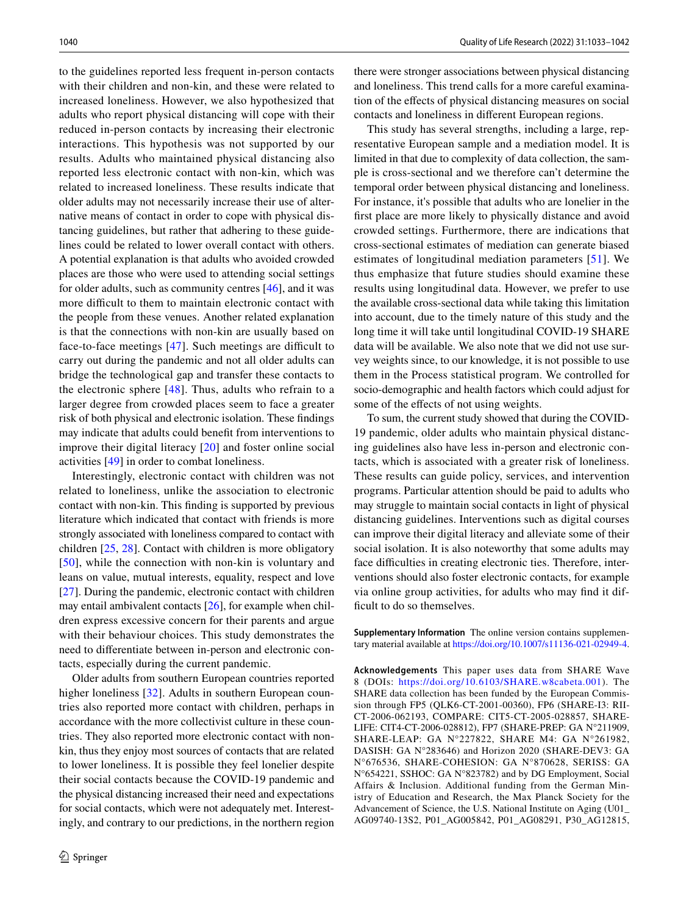to the guidelines reported less frequent in-person contacts with their children and non-kin, and these were related to increased loneliness. However, we also hypothesized that adults who report physical distancing will cope with their reduced in-person contacts by increasing their electronic interactions. This hypothesis was not supported by our results. Adults who maintained physical distancing also reported less electronic contact with non-kin, which was related to increased loneliness. These results indicate that older adults may not necessarily increase their use of alternative means of contact in order to cope with physical distancing guidelines, but rather that adhering to these guidelines could be related to lower overall contact with others. A potential explanation is that adults who avoided crowded places are those who were used to attending social settings for older adults, such as community centres [[46\]](#page-9-20), and it was more difficult to them to maintain electronic contact with the people from these venues. Another related explanation is that the connections with non-kin are usually based on face-to-face meetings  $[47]$  $[47]$  $[47]$ . Such meetings are difficult to carry out during the pandemic and not all older adults can bridge the technological gap and transfer these contacts to the electronic sphere [[48](#page-9-22)]. Thus, adults who refrain to a larger degree from crowded places seem to face a greater risk of both physical and electronic isolation. These fndings may indicate that adults could beneft from interventions to improve their digital literacy [\[20](#page-8-16)] and foster online social activities [\[49\]](#page-9-23) in order to combat loneliness.

Interestingly, electronic contact with children was not related to loneliness, unlike the association to electronic contact with non-kin. This fnding is supported by previous literature which indicated that contact with friends is more strongly associated with loneliness compared to contact with children [\[25](#page-8-22), [28](#page-9-2)]. Contact with children is more obligatory [[50\]](#page-9-24), while the connection with non-kin is voluntary and leans on value, mutual interests, equality, respect and love [\[27](#page-9-1)]. During the pandemic, electronic contact with children may entail ambivalent contacts [[26\]](#page-9-0), for example when children express excessive concern for their parents and argue with their behaviour choices. This study demonstrates the need to diferentiate between in-person and electronic contacts, especially during the current pandemic.

Older adults from southern European countries reported higher loneliness [[32\]](#page-9-6). Adults in southern European countries also reported more contact with children, perhaps in accordance with the more collectivist culture in these countries. They also reported more electronic contact with nonkin, thus they enjoy most sources of contacts that are related to lower loneliness. It is possible they feel lonelier despite their social contacts because the COVID-19 pandemic and the physical distancing increased their need and expectations for social contacts, which were not adequately met. Interestingly, and contrary to our predictions, in the northern region

there were stronger associations between physical distancing and loneliness. This trend calls for a more careful examination of the efects of physical distancing measures on social contacts and loneliness in diferent European regions.

This study has several strengths, including a large, representative European sample and a mediation model. It is limited in that due to complexity of data collection, the sample is cross-sectional and we therefore can't determine the temporal order between physical distancing and loneliness. For instance, it's possible that adults who are lonelier in the frst place are more likely to physically distance and avoid crowded settings. Furthermore, there are indications that cross-sectional estimates of mediation can generate biased estimates of longitudinal mediation parameters [[51](#page-9-25)]. We thus emphasize that future studies should examine these results using longitudinal data. However, we prefer to use the available cross-sectional data while taking this limitation into account, due to the timely nature of this study and the long time it will take until longitudinal COVID-19 SHARE data will be available. We also note that we did not use survey weights since, to our knowledge, it is not possible to use them in the Process statistical program. We controlled for socio-demographic and health factors which could adjust for some of the efects of not using weights.

To sum, the current study showed that during the COVID-19 pandemic, older adults who maintain physical distancing guidelines also have less in-person and electronic contacts, which is associated with a greater risk of loneliness. These results can guide policy, services, and intervention programs. Particular attention should be paid to adults who may struggle to maintain social contacts in light of physical distancing guidelines. Interventions such as digital courses can improve their digital literacy and alleviate some of their social isolation. It is also noteworthy that some adults may face difficulties in creating electronic ties. Therefore, interventions should also foster electronic contacts, for example via online group activities, for adults who may fnd it difficult to do so themselves.

**Supplementary Information** The online version contains supplementary material available at<https://doi.org/10.1007/s11136-021-02949-4>.

**Acknowledgements** This paper uses data from SHARE Wave 8 (DOIs: <https://doi.org/10.6103/SHARE.w8cabeta.001>). The SHARE data collection has been funded by the European Commission through FP5 (QLK6-CT-2001-00360), FP6 (SHARE-I3: RII-CT-2006-062193, COMPARE: CIT5-CT-2005-028857, SHARE-LIFE: CIT4-CT-2006-028812), FP7 (SHARE-PREP: GA N°211909, SHARE-LEAP: GA N°227822, SHARE M4: GA N°261982, DASISH: GA N°283646) and Horizon 2020 (SHARE-DEV3: GA N°676536, SHARE-COHESION: GA N°870628, SERISS: GA N°654221, SSHOC: GA N°823782) and by DG Employment, Social Affairs & Inclusion. Additional funding from the German Ministry of Education and Research, the Max Planck Society for the Advancement of Science, the U.S. National Institute on Aging (U01\_ AG09740-13S2, P01\_AG005842, P01\_AG08291, P30\_AG12815,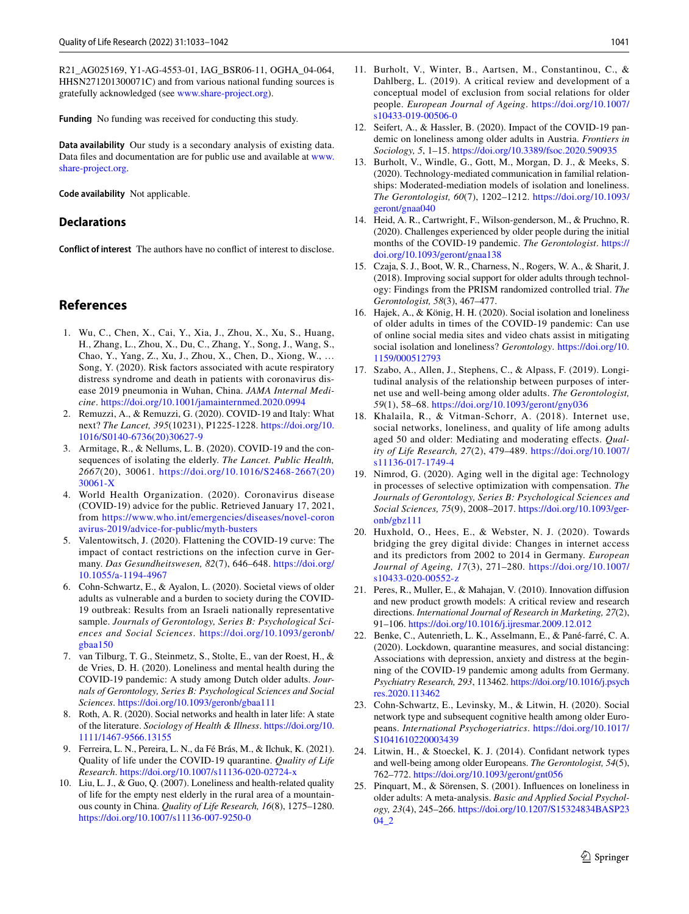R21\_AG025169, Y1-AG-4553-01, IAG\_BSR06-11, OGHA\_04-064, HHSN271201300071C) and from various national funding sources is gratefully acknowledged (see [www.share-project.org\)](http://www.share-project.org).

**Funding** No funding was received for conducting this study.

**Data availability** Our study is a secondary analysis of existing data. Data fles and documentation are for public use and available at [www.](http://www.share-project.org) [share-project.org](http://www.share-project.org).

**Code availability** Not applicable.

#### **Declarations**

**Conflict of interest** The authors have no confict of interest to disclose.

## **References**

- <span id="page-8-0"></span>1. Wu, C., Chen, X., Cai, Y., Xia, J., Zhou, X., Xu, S., Huang, H., Zhang, L., Zhou, X., Du, C., Zhang, Y., Song, J., Wang, S., Chao, Y., Yang, Z., Xu, J., Zhou, X., Chen, D., Xiong, W., … Song, Y. (2020). Risk factors associated with acute respiratory distress syndrome and death in patients with coronavirus disease 2019 pneumonia in Wuhan, China. *JAMA Internal Medicine*.<https://doi.org/10.1001/jamainternmed.2020.0994>
- <span id="page-8-1"></span>2. Remuzzi, A., & Remuzzi, G. (2020). COVID-19 and Italy: What next? *The Lancet, 395*(10231), P1225-1228. [https://doi.org/10.](https://doi.org/10.1016/S0140-6736(20)30627-9) [1016/S0140-6736\(20\)30627-9](https://doi.org/10.1016/S0140-6736(20)30627-9)
- <span id="page-8-2"></span>3. Armitage, R., & Nellums, L. B. (2020). COVID-19 and the consequences of isolating the elderly. *The Lancet. Public Health, 2667*(20), 30061. [https://doi.org/10.1016/S2468-2667\(20\)](https://doi.org/10.1016/S2468-2667(20)30061-X) [30061-X](https://doi.org/10.1016/S2468-2667(20)30061-X)
- <span id="page-8-3"></span>4. World Health Organization. (2020). Coronavirus disease (COVID-19) advice for the public. Retrieved January 17, 2021, from [https://www.who.int/emergencies/diseases/novel-coron](https://www.who.int/emergencies/diseases/novel-coronavirus-2019/advice-for-public/myth-busters) [avirus-2019/advice-for-public/myth-busters](https://www.who.int/emergencies/diseases/novel-coronavirus-2019/advice-for-public/myth-busters)
- <span id="page-8-4"></span>5. Valentowitsch, J. (2020). Flattening the COVID-19 curve: The impact of contact restrictions on the infection curve in Germany. *Das Gesundheitswesen, 82*(7), 646–648. [https://doi.org/](https://doi.org/10.1055/a-1194-4967) [10.1055/a-1194-4967](https://doi.org/10.1055/a-1194-4967)
- <span id="page-8-5"></span>6. Cohn-Schwartz, E., & Ayalon, L. (2020). Societal views of older adults as vulnerable and a burden to society during the COVID-19 outbreak: Results from an Israeli nationally representative sample. *Journals of Gerontology, Series B: Psychological Sciences and Social Sciences*. [https://doi.org/10.1093/geronb/](https://doi.org/10.1093/geronb/gbaa150) [gbaa150](https://doi.org/10.1093/geronb/gbaa150)
- <span id="page-8-18"></span>7. van Tilburg, T. G., Steinmetz, S., Stolte, E., van der Roest, H., & de Vries, D. H. (2020). Loneliness and mental health during the COVID-19 pandemic: A study among Dutch older adults. *Journals of Gerontology, Series B: Psychological Sciences and Social Sciences*. <https://doi.org/10.1093/geronb/gbaa111>
- 8. Roth, A. R. (2020). Social networks and health in later life: A state of the literature. *Sociology of Health & Illness*. [https://doi.org/10.](https://doi.org/10.1111/1467-9566.13155) [1111/1467-9566.13155](https://doi.org/10.1111/1467-9566.13155)
- 9. Ferreira, L. N., Pereira, L. N., da Fé Brás, M., & Ilchuk, K. (2021). Quality of life under the COVID-19 quarantine. *Quality of Life Research*. <https://doi.org/10.1007/s11136-020-02724-x>
- <span id="page-8-6"></span>10. Liu, L. J., & Guo, Q. (2007). Loneliness and health-related quality of life for the empty nest elderly in the rural area of a mountainous county in China. *Quality of Life Research, 16*(8), 1275–1280. <https://doi.org/10.1007/s11136-007-9250-0>
- <span id="page-8-7"></span>11. Burholt, V., Winter, B., Aartsen, M., Constantinou, C., & Dahlberg, L. (2019). A critical review and development of a conceptual model of exclusion from social relations for older people. *European Journal of Ageing*. [https://doi.org/10.1007/](https://doi.org/10.1007/s10433-019-00506-0) [s10433-019-00506-0](https://doi.org/10.1007/s10433-019-00506-0)
- <span id="page-8-8"></span>12. Seifert, A., & Hassler, B. (2020). Impact of the COVID-19 pandemic on loneliness among older adults in Austria. *Frontiers in Sociology, 5*, 1–15.<https://doi.org/10.3389/fsoc.2020.590935>
- <span id="page-8-9"></span>13. Burholt, V., Windle, G., Gott, M., Morgan, D. J., & Meeks, S. (2020). Technology-mediated communication in familial relationships: Moderated-mediation models of isolation and loneliness. *The Gerontologist, 60*(7), 1202–1212. [https://doi.org/10.1093/](https://doi.org/10.1093/geront/gnaa040) [geront/gnaa040](https://doi.org/10.1093/geront/gnaa040)
- <span id="page-8-10"></span>14. Heid, A. R., Cartwright, F., Wilson-genderson, M., & Pruchno, R. (2020). Challenges experienced by older people during the initial months of the COVID-19 pandemic. *The Gerontologist*. [https://](https://doi.org/10.1093/geront/gnaa138) [doi.org/10.1093/geront/gnaa138](https://doi.org/10.1093/geront/gnaa138)
- <span id="page-8-11"></span>15. Czaja, S. J., Boot, W. R., Charness, N., Rogers, W. A., & Sharit, J. (2018). Improving social support for older adults through technology: Findings from the PRISM randomized controlled trial. *The Gerontologist, 58*(3), 467–477.
- <span id="page-8-12"></span>16. Hajek, A., & König, H. H. (2020). Social isolation and loneliness of older adults in times of the COVID-19 pandemic: Can use of online social media sites and video chats assist in mitigating social isolation and loneliness? *Gerontology*. [https://doi.org/10.](https://doi.org/10.1159/000512793) [1159/000512793](https://doi.org/10.1159/000512793)
- <span id="page-8-13"></span>17. Szabo, A., Allen, J., Stephens, C., & Alpass, F. (2019). Longitudinal analysis of the relationship between purposes of internet use and well-being among older adults. *The Gerontologist, 59*(1), 58–68.<https://doi.org/10.1093/geront/gny036>
- <span id="page-8-14"></span>18. Khalaila, R., & Vitman-Schorr, A. (2018). Internet use, social networks, loneliness, and quality of life among adults aged 50 and older: Mediating and moderating efects. *Quality of Life Research, 27*(2), 479–489. [https://doi.org/10.1007/](https://doi.org/10.1007/s11136-017-1749-4) [s11136-017-1749-4](https://doi.org/10.1007/s11136-017-1749-4)
- <span id="page-8-15"></span>19. Nimrod, G. (2020). Aging well in the digital age: Technology in processes of selective optimization with compensation. *The Journals of Gerontology, Series B: Psychological Sciences and Social Sciences, 75*(9), 2008–2017. [https://doi.org/10.1093/ger](https://doi.org/10.1093/geronb/gbz111)[onb/gbz111](https://doi.org/10.1093/geronb/gbz111)
- <span id="page-8-16"></span>20. Huxhold, O., Hees, E., & Webster, N. J. (2020). Towards bridging the grey digital divide: Changes in internet access and its predictors from 2002 to 2014 in Germany. *European Journal of Ageing, 17*(3), 271–280. [https://doi.org/10.1007/](https://doi.org/10.1007/s10433-020-00552-z) [s10433-020-00552-z](https://doi.org/10.1007/s10433-020-00552-z)
- <span id="page-8-17"></span>21. Peres, R., Muller, E., & Mahajan, V. (2010). Innovation difusion and new product growth models: A critical review and research directions. *International Journal of Research in Marketing, 27*(2), 91–106.<https://doi.org/10.1016/j.ijresmar.2009.12.012>
- <span id="page-8-19"></span>22. Benke, C., Autenrieth, L. K., Asselmann, E., & Pané-farré, C. A. (2020). Lockdown, quarantine measures, and social distancing: Associations with depression, anxiety and distress at the beginning of the COVID-19 pandemic among adults from Germany. *Psychiatry Research, 293*, 113462. [https://doi.org/10.1016/j.psych](https://doi.org/10.1016/j.psychres.2020.113462) [res.2020.113462](https://doi.org/10.1016/j.psychres.2020.113462)
- <span id="page-8-20"></span>23. Cohn-Schwartz, E., Levinsky, M., & Litwin, H. (2020). Social network type and subsequent cognitive health among older Europeans. *International Psychogeriatrics*. [https://doi.org/10.1017/](https://doi.org/10.1017/S1041610220003439) [S1041610220003439](https://doi.org/10.1017/S1041610220003439)
- <span id="page-8-21"></span>24. Litwin, H., & Stoeckel, K. J. (2014). Confdant network types and well-being among older Europeans. *The Gerontologist, 54*(5), 762–772.<https://doi.org/10.1093/geront/gnt056>
- <span id="page-8-22"></span>25. Pinquart, M., & Sörensen, S. (2001). Infuences on loneliness in older adults: A meta-analysis. *Basic and Applied Social Psychology, 23*(4), 245–266. [https://doi.org/10.1207/S15324834BASP23](https://doi.org/10.1207/S15324834BASP2304_2) [04\\_2](https://doi.org/10.1207/S15324834BASP2304_2)